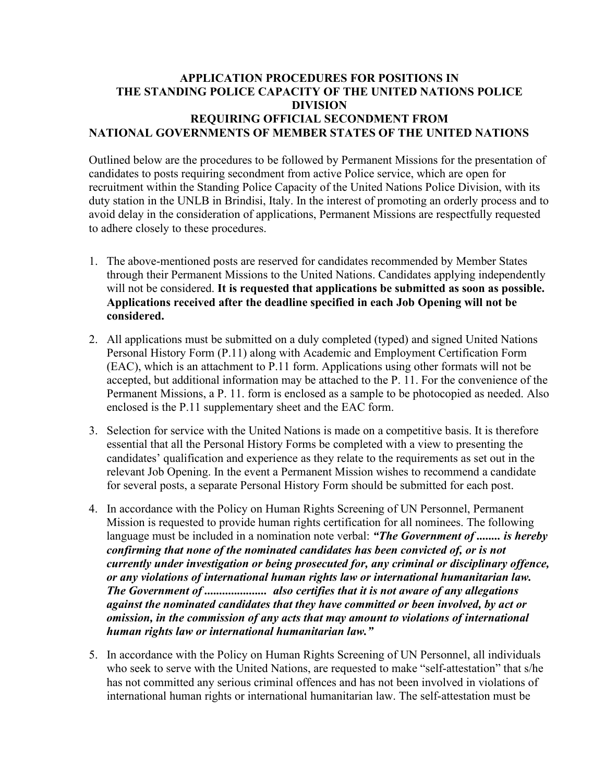## **APPLICATION PROCEDURES FOR POSITIONS IN THE STANDING POLICE CAPACITY OF THE UNITED NATIONS POLICE DIVISION REQUIRING OFFICIAL SECONDMENT FROM NATIONAL GOVERNMENTS OF MEMBER STATES OF THE UNITED NATIONS**

Outlined below are the procedures to be followed by Permanent Missions for the presentation of candidates to posts requiring secondment from active Police service, which are open for recruitment within the Standing Police Capacity of the United Nations Police Division, with its duty station in the UNLB in Brindisi, Italy. In the interest of promoting an orderly process and to avoid delay in the consideration of applications, Permanent Missions are respectfully requested to adhere closely to these procedures.

- 1. The above-mentioned posts are reserved for candidates recommended by Member States through their Permanent Missions to the United Nations. Candidates applying independently will not be considered. **It is requested that applications be submitted as soon as possible. Applications received after the deadline specified in each Job Opening will not be considered.**
- 2. All applications must be submitted on a duly completed (typed) and signed United Nations Personal History Form (P.11) along with Academic and Employment Certification Form (EAC), which is an attachment to P.11 form. Applications using other formats will not be accepted, but additional information may be attached to the P. 11. For the convenience of the Permanent Missions, a P. 11. form is enclosed as a sample to be photocopied as needed. Also enclosed is the P.11 supplementary sheet and the EAC form.
- 3. Selection for service with the United Nations is made on a competitive basis. It is therefore essential that all the Personal History Forms be completed with a view to presenting the candidates' qualification and experience as they relate to the requirements as set out in the relevant Job Opening. In the event a Permanent Mission wishes to recommend a candidate for several posts, a separate Personal History Form should be submitted for each post.
- 4. In accordance with the Policy on Human Rights Screening of UN Personnel, Permanent Mission is requested to provide human rights certification for all nominees. The following language must be included in a nomination note verbal: *"The Government of ........ is hereby confirming that none of the nominated candidates has been convicted of, or is not currently under investigation or being prosecuted for, any criminal or disciplinary offence, or any violations of international human rights law or international humanitarian law. The Government of ..................... also certifies that it is not aware of any allegations against the nominated candidates that they have committed or been involved, by act or omission, in the commission of any acts that may amount to violations of international human rights law or international humanitarian law."*
- 5. In accordance with the Policy on Human Rights Screening of UN Personnel, all individuals who seek to serve with the United Nations, are requested to make "self-attestation" that s/he has not committed any serious criminal offences and has not been involved in violations of international human rights or international humanitarian law. The self-attestation must be